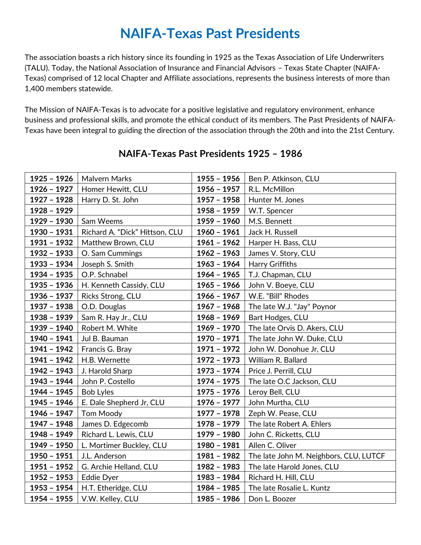## **NAIFA-Texas Past Presidents**

The association boasts a rich history since its founding in 1925 as the Texas Association of Life Underwriters (TALU). Today, the National Association of Insurance and Financial Advisors – Texas State Chapter (NAIFA-Texas) comprised of 12 local Chapter and Affiliate associations, represents the business interests of more than 1,400 members statewide.

The Mission of NAIFA-Texas is to advocate for a positive legislative and regulatory environment, enhance business and professional skills, and promote the ethical conduct of its members. The Past Presidents of NAIFA-Texas have been integral to guiding the direction of the association through the 20th and into the 21st Century.

| 1925 - 1926   | Malvern Marks                  | 1955 - 1956   | Ben P. Atkinson, CLU                   |  |
|---------------|--------------------------------|---------------|----------------------------------------|--|
| 1926 - 1927   | Homer Hewitt, CLU              | $1956 - 1957$ | R.L. McMillon                          |  |
| 1927 - 1928   | Harry D. St. John              | 1957 - 1958   | Hunter M. Jones                        |  |
| 1928 - 1929   |                                | 1958 - 1959   | W.T. Spencer                           |  |
| 1929 - 1930   | Sam Weems                      | 1959 - 1960   | M.S. Bennett                           |  |
| 1930 - 1931   | Richard A. "Dick" Hittson, CLU | 1960 - 1961   | Jack H. Russell                        |  |
| 1931 - 1932   | Matthew Brown, CLU             | 1961 - 1962   | Harper H. Bass, CLU                    |  |
| 1932 - 1933   | O. Sam Cummings                | 1962 - 1963   | James V. Story, CLU                    |  |
| 1933 - 1934   | Joseph S. Smith                | 1963 - 1964   | Harry Griffiths                        |  |
| 1934 - 1935   | O.P. Schnabel                  | 1964 - 1965   | T.J. Chapman, CLU                      |  |
| 1935 - 1936   | H. Kenneth Cassidy, CLU        | 1965 - 1966   | John V. Boeye, CLU                     |  |
| 1936 - 1937   | Ricks Strong, CLU              | 1966 - 1967   | W.E. "Bill" Rhodes                     |  |
| 1937 - 1938   | O.D. Douglas                   | $1967 - 1968$ | The late W.J. "Jay" Poynor             |  |
| 1938 - 1939   | Sam R. Hay Jr., CLU            | 1968 - 1969   | Bart Hodges, CLU                       |  |
| 1939 - 1940   | Robert M. White                | 1969 - 1970   | The late Orvis D. Akers, CLU           |  |
| 1940 - 1941   | Jul B. Bauman                  | 1970 - 1971   | The late John W. Duke, CLU             |  |
| 1941 - 1942   | Francis G. Bray                | 1971 - 1972   | John W. Donohue Jr, CLU                |  |
| 1941 - 1942   | H.B. Wernette                  | 1972 - 1973   | William R. Ballard                     |  |
| 1942 - 1943   | J. Harold Sharp                | 1973 - 1974   | Price J. Perrill, CLU                  |  |
| 1943 - 1944   | John P. Costello               | 1974 - 1975   | The late O.C Jackson, CLU              |  |
| 1944 - 1945   | <b>Bob Lyles</b>               | 1975 - 1976   | Leroy Bell, CLU                        |  |
| 1945 - 1946   | E. Dale Shepherd Jr, CLU       | 1976 - 1977   | John Murtha, CLU                       |  |
| 1946 - 1947   | <b>Tom Moody</b>               | 1977 - 1978   | Zeph W. Pease, CLU                     |  |
| 1947 - 1948   | James D. Edgecomb              | 1978 - 1979   | The late Robert A. Ehlers              |  |
| 1948 - 1949   | Richard L. Lewis, CLU          | 1979 - 1980   | John C. Ricketts, CLU                  |  |
| 1949 - 1950   | L. Mortimer Buckley, CLU       | 1980 - 1981   | Allen C. Oliver                        |  |
| 1950 - 1951   | J.L. Anderson                  | 1981 - 1982   | The late John M. Neighbors, CLU, LUTCF |  |
| $1951 - 1952$ | G. Archie Helland, CLU         | 1982 - 1983   | The late Harold Jones, CLU             |  |
| 1952 - 1953   | Eddie Dyer                     | 1983 - 1984   | Richard H. Hill, CLU                   |  |
| 1953 - 1954   | H.T. Etheridge, CLU            | 1984 - 1985   | The late Rosalie L. Kuntz              |  |
| $1954 - 1955$ | V.W. Kelley, CLU               | 1985 - 1986   | Don L. Boozer                          |  |

## **NAIFA-Texas Past Presidents 1925 – 1986**